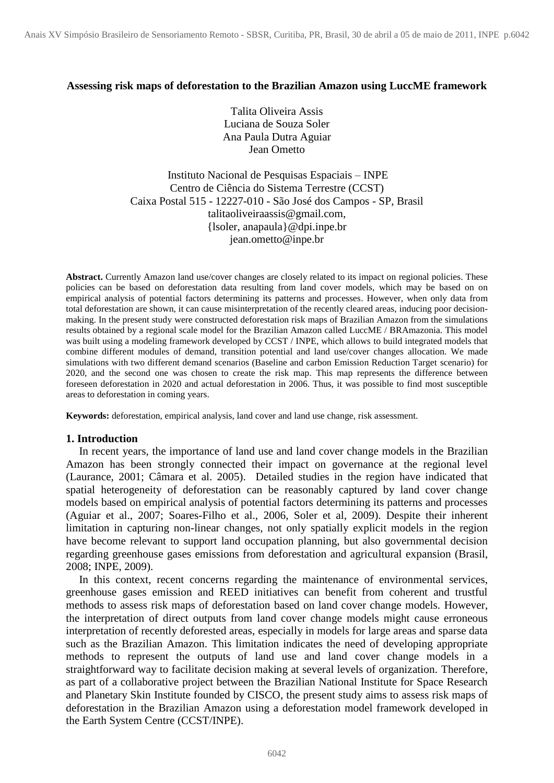## **Assessing risk maps of deforestation to the Brazilian Amazon using LuccME framework**

Talita Oliveira Assis Luciana de Souza Soler Ana Paula Dutra Aguiar Jean Ometto

Instituto Nacional de Pesquisas Espaciais – INPE Centro de Ciência do Sistema Terrestre (CCST) Caixa Postal 515 - 12227-010 - São José dos Campos - SP, Brasil talitaoliveiraassis@gmail.com, {lsoler, anapaula}@dpi.inpe.br jean.ometto@inpe.br

**Abstract.** Currently Amazon land use/cover changes are closely related to its impact on regional policies. These policies can be based on deforestation data resulting from land cover models, which may be based on on empirical analysis of potential factors determining its patterns and processes. However, when only data from total deforestation are shown, it can cause misinterpretation of the recently cleared areas, inducing poor decisionmaking. In the present study were constructed deforestation risk maps of Brazilian Amazon from the simulations results obtained by a regional scale model for the Brazilian Amazon called LuccME / BRAmazonia. This model was built using a modeling framework developed by CCST / INPE, which allows to build integrated models that combine different modules of demand, transition potential and land use/cover changes allocation. We made simulations with two different demand scenarios (Baseline and carbon Emission Reduction Target scenario) for 2020, and the second one was chosen to create the risk map. This map represents the difference between foreseen deforestation in 2020 and actual deforestation in 2006. Thus, it was possible to find most susceptible areas to deforestation in coming years.

**Keywords:** deforestation, empirical analysis, land cover and land use change, risk assessment.

## **1. Introduction**

In recent years, the importance of land use and land cover change models in the Brazilian Amazon has been strongly connected their impact on governance at the regional level (Laurance, 2001; Câmara et al. 2005). Detailed studies in the region have indicated that spatial heterogeneity of deforestation can be reasonably captured by land cover change models based on empirical analysis of potential factors determining its patterns and processes (Aguiar et al., 2007; Soares-Filho et al., 2006, Soler et al, 2009). Despite their inherent limitation in capturing non-linear changes, not only spatially explicit models in the region have become relevant to support land occupation planning, but also governmental decision regarding greenhouse gases emissions from deforestation and agricultural expansion (Brasil, 2008; INPE, 2009).

In this context, recent concerns regarding the maintenance of environmental services, greenhouse gases emission and REED initiatives can benefit from coherent and trustful methods to assess risk maps of deforestation based on land cover change models. However, the interpretation of direct outputs from land cover change models might cause erroneous interpretation of recently deforested areas, especially in models for large areas and sparse data such as the Brazilian Amazon. This limitation indicates the need of developing appropriate methods to represent the outputs of land use and land cover change models in a straightforward way to facilitate decision making at several levels of organization. Therefore, as part of a collaborative project between the Brazilian National Institute for Space Research and Planetary Skin Institute founded by CISCO, the present study aims to assess risk maps of deforestation in the Brazilian Amazon using a deforestation model framework developed in the Earth System Centre (CCST/INPE).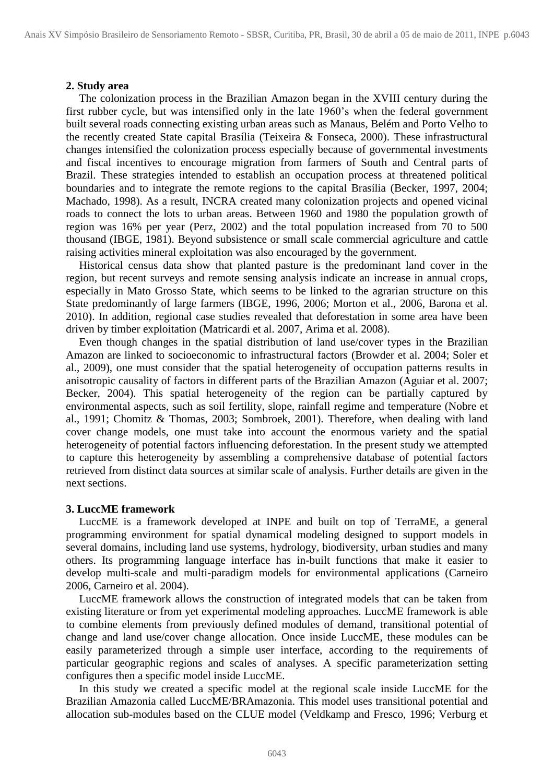#### **2. Study area**

The colonization process in the Brazilian Amazon began in the XVIII century during the first rubber cycle, but was intensified only in the late 1960's when the federal government built several roads connecting existing urban areas such as Manaus, Belém and Porto Velho to the recently created State capital Brasília (Teixeira & Fonseca, 2000). These infrastructural changes intensified the colonization process especially because of governmental investments and fiscal incentives to encourage migration from farmers of South and Central parts of Brazil. These strategies intended to establish an occupation process at threatened political boundaries and to integrate the remote regions to the capital Brasília (Becker, 1997, 2004; Machado, 1998). As a result, INCRA created many colonization projects and opened vicinal roads to connect the lots to urban areas. Between 1960 and 1980 the population growth of region was 16% per year (Perz, 2002) and the total population increased from 70 to 500 thousand (IBGE, 1981). Beyond subsistence or small scale commercial agriculture and cattle raising activities mineral exploitation was also encouraged by the government.

Historical census data show that planted pasture is the predominant land cover in the region, but recent surveys and remote sensing analysis indicate an increase in annual crops, especially in Mato Grosso State, which seems to be linked to the agrarian structure on this State predominantly of large farmers (IBGE, 1996, 2006; Morton et al., 2006, Barona et al. 2010). In addition, regional case studies revealed that deforestation in some area have been driven by timber exploitation (Matricardi et al. 2007, Arima et al. 2008).

Even though changes in the spatial distribution of land use/cover types in the Brazilian Amazon are linked to socioeconomic to infrastructural factors (Browder et al. 2004; Soler et al., 2009), one must consider that the spatial heterogeneity of occupation patterns results in anisotropic causality of factors in different parts of the Brazilian Amazon (Aguiar et al. 2007; Becker, 2004). This spatial heterogeneity of the region can be partially captured by environmental aspects, such as soil fertility, slope, rainfall regime and temperature (Nobre et al., 1991; Chomitz & Thomas, 2003; Sombroek, 2001). Therefore, when dealing with land cover change models, one must take into account the enormous variety and the spatial heterogeneity of potential factors influencing deforestation. In the present study we attempted to capture this heterogeneity by assembling a comprehensive database of potential factors retrieved from distinct data sources at similar scale of analysis. Further details are given in the next sections.

## **3. LuccME framework**

LuccME is a framework developed at INPE and built on top of TerraME, a general programming environment for spatial dynamical modeling designed to support models in several domains, including land use systems, hydrology, biodiversity, urban studies and many others. Its programming language interface has in-built functions that make it easier to develop multi-scale and multi-paradigm models for environmental applications (Carneiro 2006, Carneiro et al. 2004).

LuccME framework allows the construction of integrated models that can be taken from existing literature or from yet experimental modeling approaches. LuccME framework is able to combine elements from previously defined modules of demand, transitional potential of change and land use/cover change allocation. Once inside LuccME, these modules can be easily parameterized through a simple user interface, according to the requirements of particular geographic regions and scales of analyses. A specific parameterization setting configures then a specific model inside LuccME.

In this study we created a specific model at the regional scale inside LuccME for the Brazilian Amazonia called LuccME/BRAmazonia. This model uses transitional potential and allocation sub-modules based on the CLUE model (Veldkamp and Fresco, 1996; Verburg et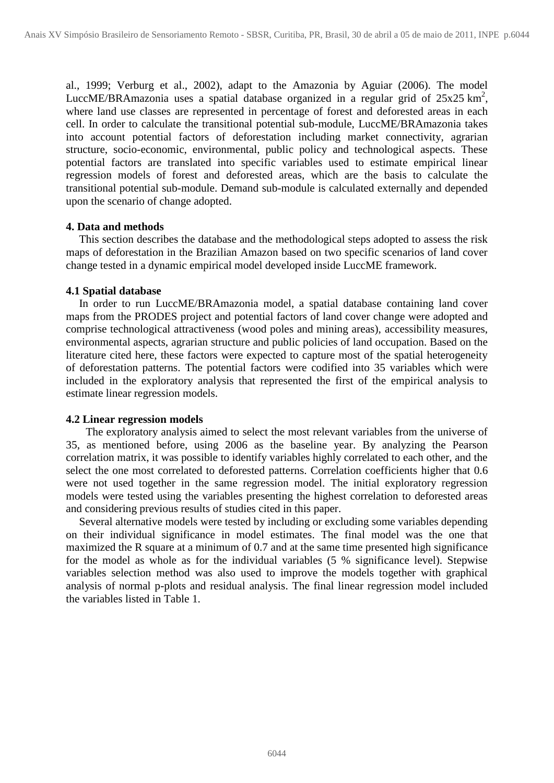al., 1999; Verburg et al., 2002), adapt to the Amazonia by Aguiar (2006). The model LuccME/BRAmazonia uses a spatial database organized in a regular grid of  $25x25 \text{ km}^2$ , where land use classes are represented in percentage of forest and deforested areas in each cell. In order to calculate the transitional potential sub-module, LuccME/BRAmazonia takes into account potential factors of deforestation including market connectivity, agrarian structure, socio-economic, environmental, public policy and technological aspects. These potential factors are translated into specific variables used to estimate empirical linear regression models of forest and deforested areas, which are the basis to calculate the transitional potential sub-module. Demand sub-module is calculated externally and depended upon the scenario of change adopted.

# **4. Data and methods**

This section describes the database and the methodological steps adopted to assess the risk maps of deforestation in the Brazilian Amazon based on two specific scenarios of land cover change tested in a dynamic empirical model developed inside LuccME framework.

# **4.1 Spatial database**

In order to run LuccME/BRAmazonia model, a spatial database containing land cover maps from the PRODES project and potential factors of land cover change were adopted and comprise technological attractiveness (wood poles and mining areas), accessibility measures, environmental aspects, agrarian structure and public policies of land occupation. Based on the literature cited here, these factors were expected to capture most of the spatial heterogeneity of deforestation patterns. The potential factors were codified into 35 variables which were included in the exploratory analysis that represented the first of the empirical analysis to estimate linear regression models.

## **4.2 Linear regression models**

The exploratory analysis aimed to select the most relevant variables from the universe of 35, as mentioned before, using 2006 as the baseline year. By analyzing the Pearson correlation matrix, it was possible to identify variables highly correlated to each other, and the select the one most correlated to deforested patterns. Correlation coefficients higher that 0.6 were not used together in the same regression model. The initial exploratory regression models were tested using the variables presenting the highest correlation to deforested areas and considering previous results of studies cited in this paper.

Several alternative models were tested by including or excluding some variables depending on their individual significance in model estimates. The final model was the one that maximized the R square at a minimum of 0.7 and at the same time presented high significance for the model as whole as for the individual variables (5 % significance level). Stepwise variables selection method was also used to improve the models together with graphical analysis of normal p-plots and residual analysis. The final linear regression model included the variables listed in Table 1.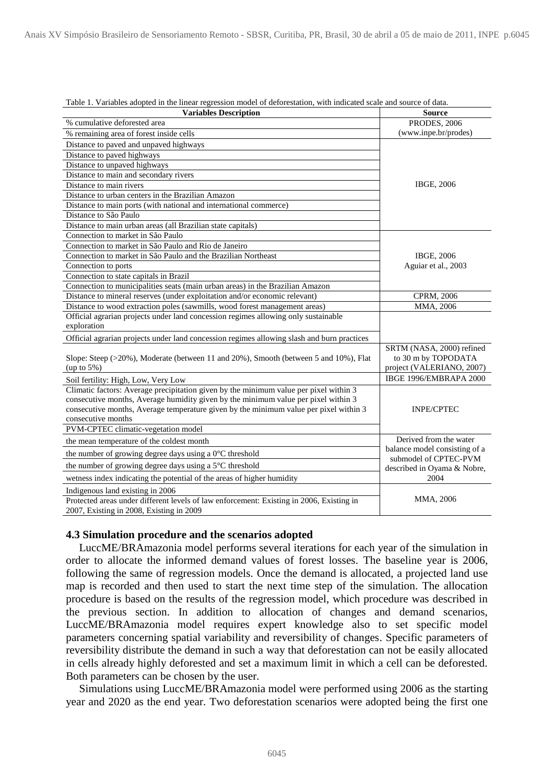| <b>Variables Description</b>                                                                                                                                                                                                                                                                                                      | <b>Source</b>                                                                                 |
|-----------------------------------------------------------------------------------------------------------------------------------------------------------------------------------------------------------------------------------------------------------------------------------------------------------------------------------|-----------------------------------------------------------------------------------------------|
| % cumulative deforested area                                                                                                                                                                                                                                                                                                      | PRODES, 2006                                                                                  |
| % remaining area of forest inside cells                                                                                                                                                                                                                                                                                           | (www.inpe.br/prodes)                                                                          |
| Distance to paved and unpaved highways                                                                                                                                                                                                                                                                                            | <b>IBGE, 2006</b>                                                                             |
| Distance to paved highways                                                                                                                                                                                                                                                                                                        |                                                                                               |
| Distance to unpaved highways                                                                                                                                                                                                                                                                                                      |                                                                                               |
| Distance to main and secondary rivers                                                                                                                                                                                                                                                                                             |                                                                                               |
| Distance to main rivers                                                                                                                                                                                                                                                                                                           |                                                                                               |
| Distance to urban centers in the Brazilian Amazon                                                                                                                                                                                                                                                                                 |                                                                                               |
| Distance to main ports (with national and international commerce)                                                                                                                                                                                                                                                                 |                                                                                               |
| Distance to São Paulo                                                                                                                                                                                                                                                                                                             |                                                                                               |
| Distance to main urban areas (all Brazilian state capitals)                                                                                                                                                                                                                                                                       |                                                                                               |
| Connection to market in São Paulo                                                                                                                                                                                                                                                                                                 | IBGE, 2006<br>Aguiar et al., 2003                                                             |
| Connection to market in São Paulo and Rio de Janeiro                                                                                                                                                                                                                                                                              |                                                                                               |
| Connection to market in São Paulo and the Brazilian Northeast                                                                                                                                                                                                                                                                     |                                                                                               |
| Connection to ports                                                                                                                                                                                                                                                                                                               |                                                                                               |
| Connection to state capitals in Brazil                                                                                                                                                                                                                                                                                            |                                                                                               |
| Connection to municipalities seats (main urban areas) in the Brazilian Amazon                                                                                                                                                                                                                                                     |                                                                                               |
| Distance to mineral reserves (under exploitation and/or economic relevant)                                                                                                                                                                                                                                                        | CPRM, 2006                                                                                    |
| Distance to wood extraction poles (sawmills, wood forest management areas)                                                                                                                                                                                                                                                        | MMA, 2006                                                                                     |
| Official agrarian projects under land concession regimes allowing only sustainable<br>exploration                                                                                                                                                                                                                                 |                                                                                               |
| Official agrarian projects under land concession regimes allowing slash and burn practices                                                                                                                                                                                                                                        |                                                                                               |
| Slope: Steep $(>20\%)$ , Moderate (between 11 and 20%), Smooth (between 5 and 10%), Flat<br>(up to $5\%$ )                                                                                                                                                                                                                        | SRTM (NASA, 2000) refined<br>to 30 m by TOPODATA<br>project (VALERIANO, 2007)                 |
| Soil fertility: High, Low, Very Low                                                                                                                                                                                                                                                                                               | IBGE 1996/EMBRAPA 2000                                                                        |
| Climatic factors: Average precipitation given by the minimum value per pixel within 3<br>consecutive months, Average humidity given by the minimum value per pixel within 3<br>consecutive months, Average temperature given by the minimum value per pixel within 3<br>consecutive months<br>PVM-CPTEC climatic-vegetation model | <b>INPE/CPTEC</b>                                                                             |
| the mean temperature of the coldest month                                                                                                                                                                                                                                                                                         | Derived from the water                                                                        |
| the number of growing degree days using a 0°C threshold                                                                                                                                                                                                                                                                           | balance model consisting of a<br>submodel of CPTEC-PVM<br>described in Oyama & Nobre,<br>2004 |
| the number of growing degree days using a $5^{\circ}$ C threshold                                                                                                                                                                                                                                                                 |                                                                                               |
| wetness index indicating the potential of the areas of higher humidity                                                                                                                                                                                                                                                            |                                                                                               |
|                                                                                                                                                                                                                                                                                                                                   |                                                                                               |
| Indigenous land existing in 2006<br>Protected areas under different levels of law enforcement: Existing in 2006, Existing in<br>2007, Existing in 2008, Existing in 2009                                                                                                                                                          | MMA, 2006                                                                                     |

Table 1. Variables adopted in the linear regression model of deforestation, with indicated scale and source of data.

## **4.3 Simulation procedure and the scenarios adopted**

LuccME/BRAmazonia model performs several iterations for each year of the simulation in order to allocate the informed demand values of forest losses. The baseline year is 2006, following the same of regression models. Once the demand is allocated, a projected land use map is recorded and then used to start the next time step of the simulation. The allocation procedure is based on the results of the regression model, which procedure was described in the previous section. In addition to allocation of changes and demand scenarios, LuccME/BRAmazonia model requires expert knowledge also to set specific model parameters concerning spatial variability and reversibility of changes. Specific parameters of reversibility distribute the demand in such a way that deforestation can not be easily allocated in cells already highly deforested and set a maximum limit in which a cell can be deforested. Both parameters can be chosen by the user.

Simulations using LuccME/BRAmazonia model were performed using 2006 as the starting year and 2020 as the end year. Two deforestation scenarios were adopted being the first one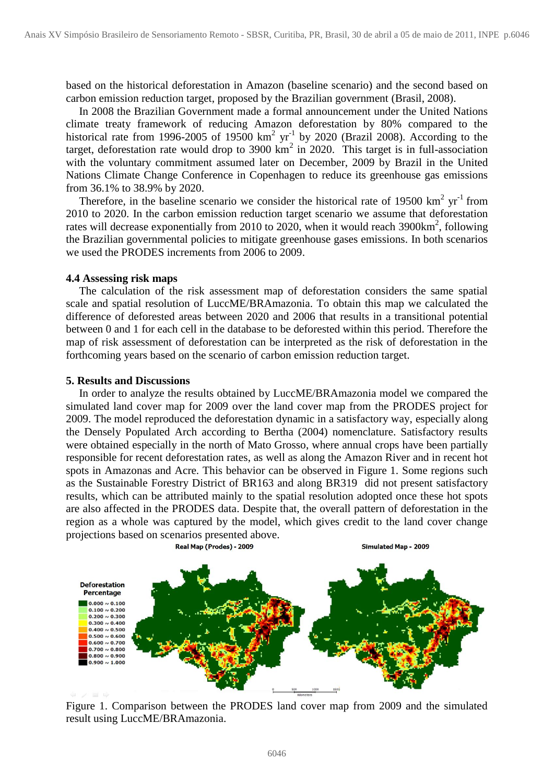based on the historical deforestation in Amazon (baseline scenario) and the second based on carbon emission reduction target, proposed by the Brazilian government (Brasil, 2008).

In 2008 the Brazilian Government made a formal announcement under the United Nations climate treaty framework of reducing Amazon deforestation by 80% compared to the historical rate from 1996-2005 of 19500  $km^2$  yr<sup>-1</sup> by 2020 (Brazil 2008). According to the target, deforestation rate would drop to  $3900 \text{ km}^2$  in 2020. This target is in full-association with the voluntary commitment assumed later on December, 2009 by Brazil in the United Nations Climate Change Conference in Copenhagen to reduce its greenhouse gas emissions from 36.1% to 38.9% by 2020.

Therefore, in the baseline scenario we consider the historical rate of 19500  $\text{km}^2 \text{ yr}^{-1}$  from 2010 to 2020. In the carbon emission reduction target scenario we assume that deforestation rates will decrease exponentially from 2010 to 2020, when it would reach 3900km<sup>2</sup>, following the Brazilian governmental policies to mitigate greenhouse gases emissions. In both scenarios we used the PRODES increments from 2006 to 2009.

#### **4.4 Assessing risk maps**

The calculation of the risk assessment map of deforestation considers the same spatial scale and spatial resolution of LuccME/BRAmazonia. To obtain this map we calculated the difference of deforested areas between 2020 and 2006 that results in a transitional potential between 0 and 1 for each cell in the database to be deforested within this period. Therefore the map of risk assessment of deforestation can be interpreted as the risk of deforestation in the forthcoming years based on the scenario of carbon emission reduction target.

#### **5. Results and Discussions**

In order to analyze the results obtained by LuccME/BRAmazonia model we compared the simulated land cover map for 2009 over the land cover map from the PRODES project for 2009. The model reproduced the deforestation dynamic in a satisfactory way, especially along the Densely Populated Arch according to Bertha (2004) nomenclature. Satisfactory results were obtained especially in the north of Mato Grosso, where annual crops have been partially responsible for recent deforestation rates, as well as along the Amazon River and in recent hot spots in Amazonas and Acre. This behavior can be observed in Figure 1. Some regions such as the Sustainable Forestry District of BR163 and along BR319 did not present satisfactory results, which can be attributed mainly to the spatial resolution adopted once these hot spots are also affected in the PRODES data. Despite that, the overall pattern of deforestation in the region as a whole was captured by the model, which gives credit to the land cover change projections based on scenarios presented above.



Figure 1. Comparison between the PRODES land cover map from 2009 and the simulated result using LuccME/BRAmazonia.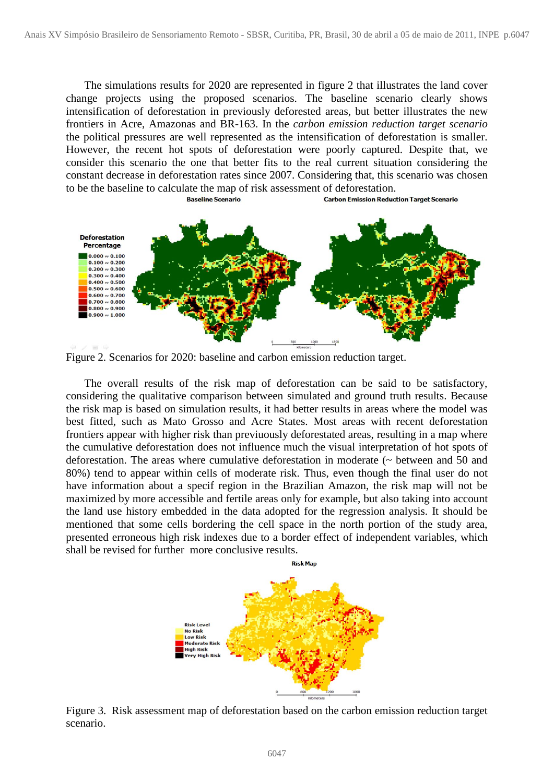The simulations results for 2020 are represented in figure 2 that illustrates the land cover change projects using the proposed scenarios. The baseline scenario clearly shows intensification of deforestation in previously deforested areas, but better illustrates the new frontiers in Acre, Amazonas and BR-163. In the *carbon emission reduction target scenario* the political pressures are well represented as the intensification of deforestation is smaller. However, the recent hot spots of deforestation were poorly captured. Despite that, we consider this scenario the one that better fits to the real current situation considering the constant decrease in deforestation rates since 2007. Considering that, this scenario was chosen to be the baseline to calculate the map of risk assessment of deforestation.<br>Baseline Scenario Carbon Emission Reduction Target Scenario



Figure 2. Scenarios for 2020: baseline and carbon emission reduction target.

The overall results of the risk map of deforestation can be said to be satisfactory, considering the qualitative comparison between simulated and ground truth results. Because the risk map is based on simulation results, it had better results in areas where the model was best fitted, such as Mato Grosso and Acre States. Most areas with recent deforestation frontiers appear with higher risk than previuously deforestated areas, resulting in a map where the cumulative deforestation does not influence much the visual interpretation of hot spots of deforestation. The areas where cumulative deforestation in moderate (~ between and 50 and 80%) tend to appear within cells of moderate risk. Thus, even though the final user do not have information about a specif region in the Brazilian Amazon, the risk map will not be maximized by more accessible and fertile areas only for example, but also taking into account the land use history embedded in the data adopted for the regression analysis. It should be mentioned that some cells bordering the cell space in the north portion of the study area, presented erroneous high risk indexes due to a border effect of independent variables, which shall be revised for further more conclusive results.



Figure 3. Risk assessment map of deforestation based on the carbon emission reduction target scenario.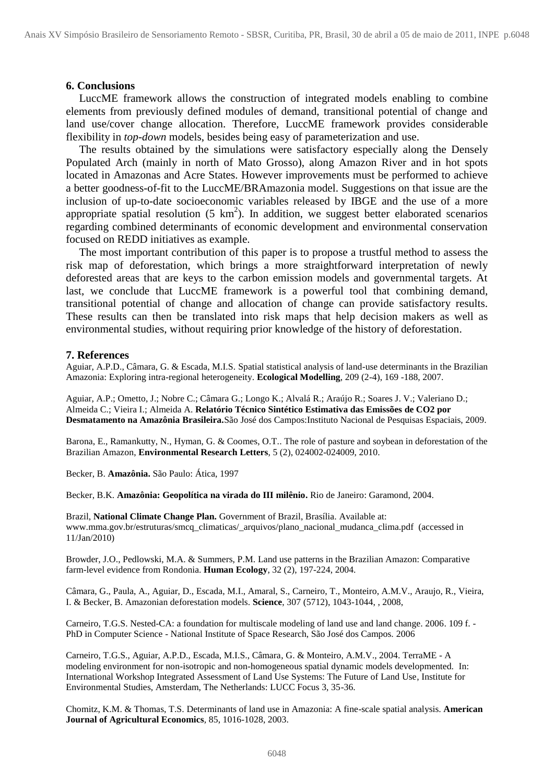#### **6. Conclusions**

LuccME framework allows the construction of integrated models enabling to combine elements from previously defined modules of demand, transitional potential of change and land use/cover change allocation. Therefore, LuccME framework provides considerable flexibility in *top-down* models, besides being easy of parameterization and use.

The results obtained by the simulations were satisfactory especially along the Densely Populated Arch (mainly in north of Mato Grosso), along Amazon River and in hot spots located in Amazonas and Acre States. However improvements must be performed to achieve a better goodness-of-fit to the LuccME/BRAmazonia model. Suggestions on that issue are the inclusion of up-to-date socioeconomic variables released by IBGE and the use of a more appropriate spatial resolution (5  $km<sup>2</sup>$ ). In addition, we suggest better elaborated scenarios regarding combined determinants of economic development and environmental conservation focused on REDD initiatives as example.

The most important contribution of this paper is to propose a trustful method to assess the risk map of deforestation, which brings a more straightforward interpretation of newly deforested areas that are keys to the carbon emission models and governmental targets. At last, we conclude that LuccME framework is a powerful tool that combining demand, transitional potential of change and allocation of change can provide satisfactory results. These results can then be translated into risk maps that help decision makers as well as environmental studies, without requiring prior knowledge of the history of deforestation.

#### **7. References**

Aguiar, A.P.D., Câmara, G. & Escada, M.I.S. Spatial statistical analysis of land-use determinants in the Brazilian Amazonia: Exploring intra-regional heterogeneity. **Ecological Modelling**, 209 (2-4), 169 -188, 2007.

Aguiar, A.P.; Ometto, J.; Nobre C.; Câmara G.; Longo K.; Alvalá R.; Araújo R.; Soares J. V.; Valeriano D.; Almeida C.; Vieira I.; Almeida A. **Relatório Técnico Sintético Estimativa das Emissões de CO2 por Desmatamento na Amazônia Brasileira.**São José dos Campos:Instituto Nacional de Pesquisas Espaciais, 2009.

Barona, E., Ramankutty, N., Hyman, G. & Coomes, O.T.. The role of pasture and soybean in deforestation of the Brazilian Amazon, **Environmental Research Letters**, 5 (2), 024002-024009, 2010.

Becker, B. **Amazônia.** São Paulo: Ática, 1997

Becker, B.K. **Amazônia: Geopolítica na virada do III milênio.** Rio de Janeiro: Garamond, 2004.

Brazil, **National Climate Change Plan.** Government of Brazil, Brasília. Available at: www.mma.gov.br/estruturas/smcq\_climaticas/\_arquivos/plano\_nacional\_mudanca\_clima.pdf (accessed in 11/Jan/2010)

Browder, J.O., Pedlowski, M.A. & Summers, P.M. Land use patterns in the Brazilian Amazon: Comparative farm-level evidence from Rondonia. **Human Ecology**, 32 (2), 197-224, 2004.

Câmara, G., Paula, A., Aguiar, D., Escada, M.I., Amaral, S., Carneiro, T., Monteiro, A.M.V., Araujo, R., Vieira, I. & Becker, B. Amazonian deforestation models. **Science**, 307 (5712), 1043-1044, , 2008,

Carneiro, T.G.S. Nested-CA: a foundation for multiscale modeling of land use and land change. 2006. 109 f. -PhD in Computer Science - National Institute of Space Research, São José dos Campos. 2006

Carneiro, T.G.S., Aguiar, A.P.D., Escada, M.I.S., Câmara, G. & Monteiro, A.M.V., 2004. TerraME - A modeling environment for non-isotropic and non-homogeneous spatial dynamic models developmented. In: International Workshop Integrated Assessment of Land Use Systems: The Future of Land Use, Institute for Environmental Studies, Amsterdam, The Netherlands: LUCC Focus 3, 35-36.

Chomitz, K.M. & Thomas, T.S. Determinants of land use in Amazonia: A fine-scale spatial analysis. **American Journal of Agricultural Economics***,* 85, 1016-1028, 2003.